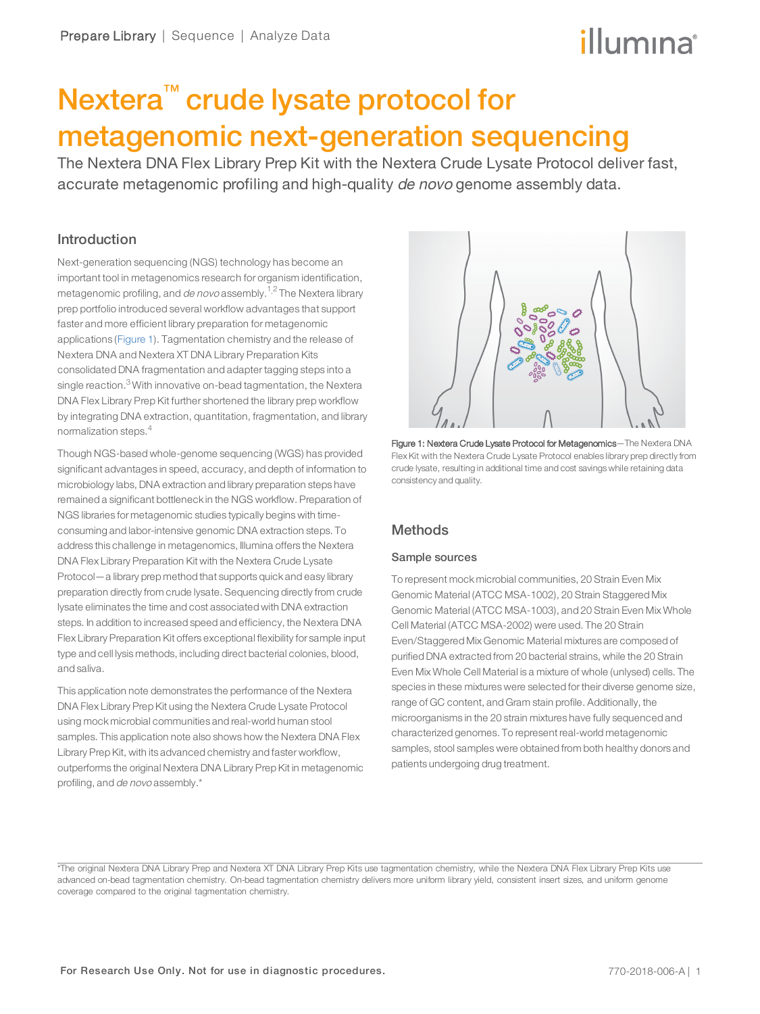## illumına

## Nextera™ crude lysate protocol for metagenomic next-generation sequencing

The Nextera DNA Flex Library Prep Kit with the Nextera Crude Lysate Protocol deliver fast, accurate metagenomic profiling and high-quality de novo genome assembly data.

## Introduction

Next-generation sequencing (NGS) technology has become an important tool in metagenomics research for organism identification, metagenomic profiling, and de novo assembly.<sup>[1](#page-5-0),[2](#page-5-1)</sup> The Nextera library prep portfolio introduced several workflow advantages that support faster and more efficient library preparation for metagenomic applications ([Figure 1](#page-0-0)). Tagmentation chemistry and the release of Nextera DNA and Nextera XT DNA Library Preparation Kits consolidated DNA fragmentation and adapter tagging steps into a single reaction.<sup>[3](#page-5-2)</sup> With innovative on-bead tagmentation, the Nextera DNA Flex Library Prep Kit further shortened the library prep workflow by integrating DNA extraction, quantitation, fragmentation, and library normalization steps.<sup>[4](#page-5-3)</sup>

Though NGS-based whole-genome sequencing (WGS) has provided significant advantages in speed, accuracy, and depth of information to microbiology labs, DNA extraction and library preparation steps have remained a significant bottleneck in the NGS workflow. Preparation of NGS libraries for metagenomic studies typically begins with timeconsuming and labor-intensive genomic DNA extraction steps. To address this challenge in metagenomics, Illumina offers the Nextera DNA Flex Library Preparation Kit with the Nextera Crude Lysate Protocol—a library prep method that supports quick and easy library preparation directly from crude lysate. Sequencing directly from crude lysate eliminates the time and cost associated with DNA extraction steps. In addition to increased speed and efficiency, the Nextera DNA Flex Library Preparation Kit offers exceptional flexibility for sample input type and cell lysis methods, including direct bacterial colonies, blood, and saliva.

This application note demonstrates the performance of the Nextera DNA Flex Library Prep Kit using the Nextera Crude Lysate Protocol using mock microbial communities and real-world human stool samples. This application note also shows how the Nextera DNA Flex Library Prep Kit, with its advanced chemistry and faster workflow, outperforms the original Nextera DNA Library Prep Kit in metagenomic profiling, and de novo assembly.\*



<span id="page-0-0"></span>Figure 1: Nextera Crude Lysate Protocol for Metagenomics—The Nextera DNA Flex Kit with the Nextera Crude Lysate Protocol enables library prep directly from crude lysate, resulting in additional time and cost savings while retaining data consistency and quality.

## **Methods**

## Sample sources

To represent mock microbial communities, 20 Strain Even Mix Genomic Material (ATCC MSA-1002), 20 Strain Staggered Mix Genomic Material (ATCC MSA-1003), and 20 Strain Even Mix Whole Cell Material (ATCC MSA-2002) were used. The 20 Strain Even/Staggered Mix Genomic Material mixtures are composed of purified DNA extracted from 20 bacterial strains, while the 20 Strain Even Mix Whole Cell Material is a mixture of whole (unlysed) cells. The species in these mixtures were selected fortheir diverse genome size, range of GC content, and Gram stain profile. Additionally, the microorganisms in the 20 strain mixtures have fully sequenced and characterized genomes. To represent real-world metagenomic samples, stool samples were obtained from both healthy donors and patients undergoing drug treatment.

<sup>\*</sup>The original Nextera DNA Library Prep and Nextera XT DNA Library Prep Kits use tagmentation chemistry, while the Nextera DNA Flex Library Prep Kits use advanced on-bead tagmentation chemistry. On-bead tagmentation chemistry delivers more uniform library yield, consistent insert sizes, and uniform genome coverage compared to the original tagmentation chemistry.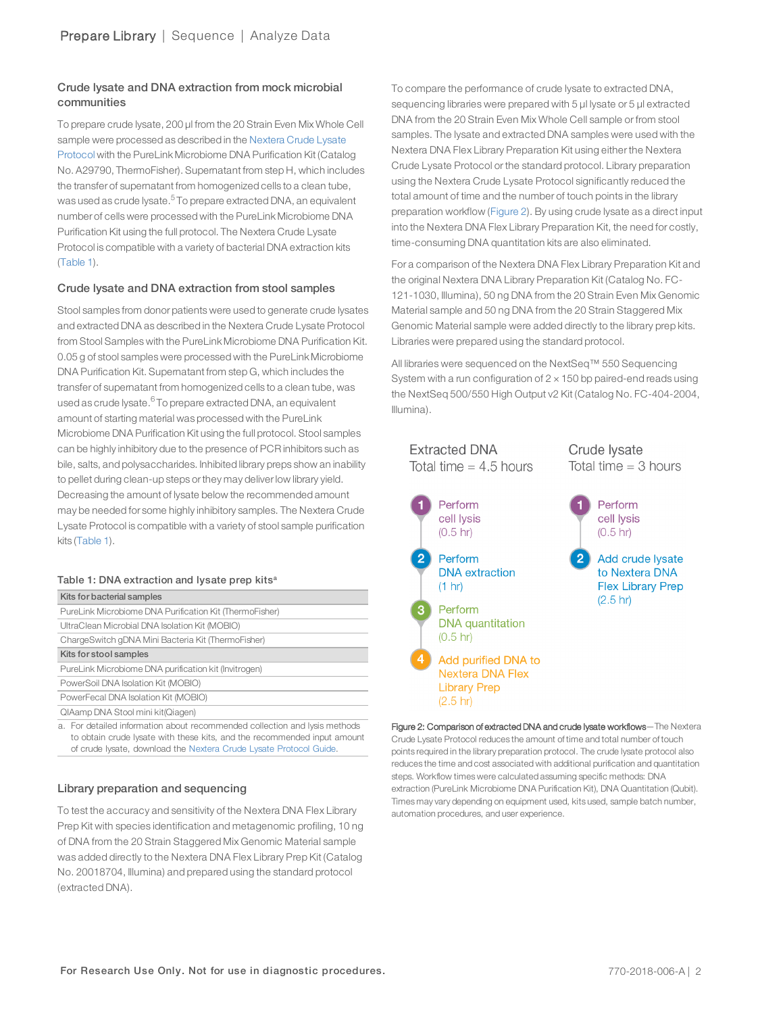## Crude lysate and DNA extraction from mock microbial communities

To prepare crude lysate, 200 µl from the 20 Strain Even Mix Whole Cell sample were processed as described in the [Nextera](https://support.illumina.com/downloads/nextera-dna-flex-metagenomics-lysate-protocol-guide-1000000057812.html) Crude Lysate [Protocol](https://support.illumina.com/downloads/nextera-dna-flex-metagenomics-lysate-protocol-guide-1000000057812.html) with the PureLink Microbiome DNA Purification Kit (Catalog No. A29790, ThermoFisher). Supernatant from step H, which includes the transfer of supernatant from homogenized cells to a clean tube, was used as crude lysate.<sup>[5](#page-5-4)</sup> To prepare extracted DNA, an equivalent number of cells were processed with the PureLink Microbiome DNA Purification Kit using the full protocol. The Nextera Crude Lysate Protocol is compatible with a variety of bacterial DNA extraction kits ([Table 1\)](#page-1-0).

## Crude lysate and DNA extraction from stool samples

Stool samples from donor patients were used to generate crude lysates and extracted DNA as described in the Nextera Crude Lysate Protocol from Stool Samples with the PureLink Microbiome DNA Purification Kit. 0.05 g of stool samples were processed with the PureLink Microbiome DNA Purification Kit. Supernatant from step G, which includes the transfer of supernatant from homogenized cells to a clean tube, was used as crude lysate.<sup>[6](#page-5-5)</sup> To prepare extracted DNA, an equivalent amount of starting material was processed with the PureLink Microbiome DNA Purification Kit using the full protocol. Stool samples can be highly inhibitory due to the presence of PCR inhibitors such as bile, salts, and polysaccharides. Inhibited library preps show an inability to pellet during clean-up steps orthey may deliverlow library yield. Decreasing the amount of lysate below the recommended amount may be needed for some highly inhibitory samples. The Nextera Crude Lysate Protocol is compatible with a variety of stool sample purification kits ([Table 1\)](#page-1-0).

#### <span id="page-1-0"></span>Table 1: DNA extraction and lysate prep kits<sup>a</sup>

| Kits for bacterial samples                                                   |
|------------------------------------------------------------------------------|
| PureLink Microbiome DNA Purification Kit (ThermoFisher)                      |
| UltraClean Microbial DNA Isolation Kit (MOBIO)                               |
| ChargeSwitch gDNA Mini Bacteria Kit (ThermoFisher)                           |
| Kits for stool samples                                                       |
| PureLink Microbiome DNA purification kit (Invitrogen)                        |
| PowerSoil DNA Isolation Kit (MOBIO)                                          |
| PowerFecal DNA Isolation Kit (MOBIO)                                         |
| QIAamp DNA Stool mini kit(Qiagen)                                            |
| a . Far detailed information about recommended eallection and lugic motherle |

a. For detailed information about recommended collection and lysis methods to obtain crude lysate with these kits, and the recommended input amount of crude lysate, download the Nextera Crude Lysate [Protocol](https://support.illumina.com/downloads/nextera-dna-flex-metagenomics-lysate-protocol-guide-1000000057812.html) Guide.

## Library preparation and sequencing

To test the accuracy and sensitivity of the Nextera DNA Flex Library Prep Kit with species identification and metagenomic profiling, 10 ng of DNA from the 20 Strain Staggered Mix Genomic Material sample was added directly to the Nextera DNA Flex Library Prep Kit (Catalog No. 20018704, Illumina) and prepared using the standard protocol (extracted DNA).

To compare the performance of crude lysate to extracted DNA, sequencing libraries were prepared with 5  $\mu$ l lysate or 5  $\mu$ l extracted DNA from the 20 Strain Even Mix Whole Cell sample or from stool samples. The lysate and extracted DNA samples were used with the Nextera DNA Flex Library Preparation Kit using either the Nextera Crude Lysate Protocol or the standard protocol. Library preparation using the Nextera Crude Lysate Protocol significantly reduced the total amount of time and the number of touch points in the library preparation workflow [\(Figure 2\)](#page-1-1). By using crude lysate as a direct input into the Nextera DNA Flex Library Preparation Kit, the need for costly, time-consuming DNA quantitation kits are also eliminated.

For a comparison of the Nextera DNA Flex Library Preparation Kit and the original Nextera DNA Library Preparation Kit (Catalog No. FC-121-1030, Illumina), 50 ng DNA from the 20 Strain Even Mix Genomic Material sample and 50 ng DNA from the 20 Strain Staggered Mix Genomic Material sample were added directly to the library prep kits. Libraries were prepared using the standard protocol.

All libraries were sequenced on the NextSeq™ 550 Sequencing System with a run configuration of  $2 \times 150$  bp paired-end reads using the NextSeq 500/550 High Output v2 Kit (Catalog No. FC-404-2004, Illumina).



<span id="page-1-1"></span>Figure 2: Comparison of extracted DNA and crude lysate workflows-The Nextera Crude Lysate Protocol reduces the amount of time and total number of touch points required in the library preparation protocol. The crude lysate protocol also reduces the time and cost associated with additional purification and quantitation steps. Workflow times were calculated assuming specific methods: DNA extraction (PureLink Microbiome DNA Purification Kit), DNA Quantitation (Qubit). Times may vary depending on equipment used, kits used, sample batch number, automation procedures, and user experience.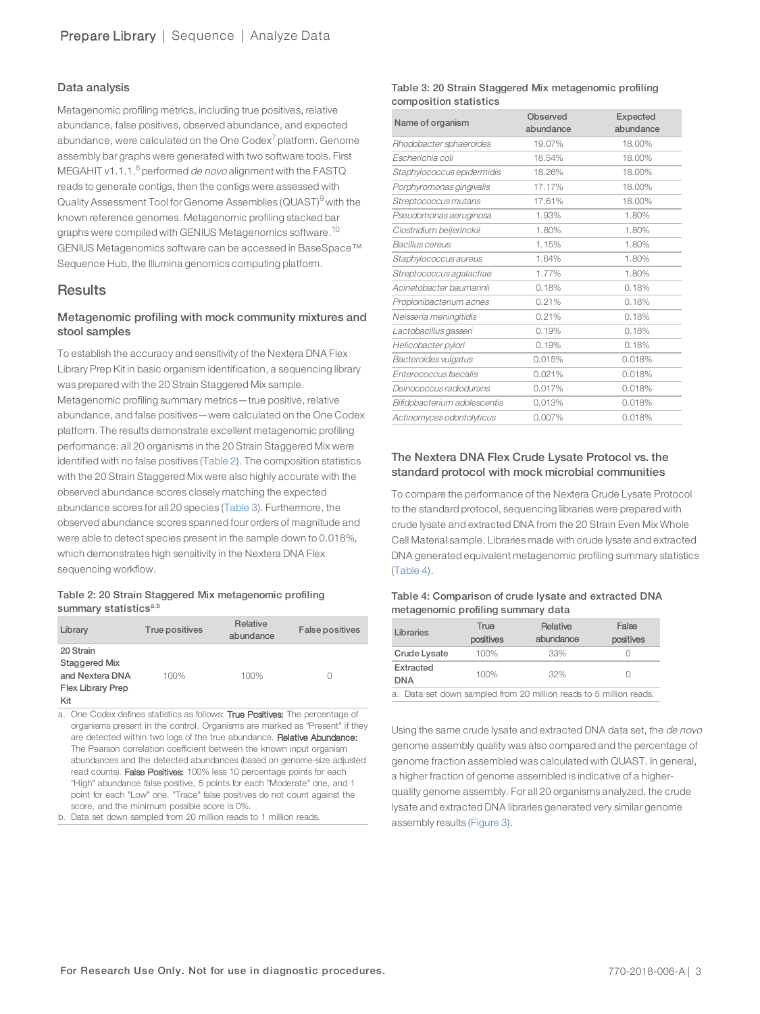### Data analysis

Metagenomic profiling metrics, including true positives, relative abundance, false positives, observed abundance, and expected abundance, were calculated on the One Codex $^7$  $^7$  platform. Genome assembly bar graphs were generated with two software tools. First MEGAHIT v1.1.1. $<sup>8</sup>$  $<sup>8</sup>$  $<sup>8</sup>$  performed *de novo* alignment with the FASTQ</sup> reads to generate contigs, then the contigs were assessed with Quality Assessment Tool for Genome Assemblies (QUAST)<sup>[9](#page-5-8)</sup> with the known reference genomes. Metagenomic profiling stacked bar graphs were compiled with GENIUS Metagenomics software.<sup>[10](#page-5-9)</sup> GENIUS Metagenomics software can be accessed in BaseSpace™ Sequence Hub, the Illumina genomics computing platform.

## **Results**

## Metagenomic profiling with mock community mixtures and stool samples

To establish the accuracy and sensitivity of the Nextera DNA Flex Library Prep Kit in basic organism identification, a sequencing library was prepared with the 20 Strain Staggered Mix sample. Metagenomic profiling summary metrics—true positive, relative abundance, and false positives—were calculated on the One Codex platform. The results demonstrate excellent metagenomic profiling performance: all 20 organisms in the 20 Strain Staggered Mix were identified with no false positives ([Table 2\)](#page-2-0). The composition statistics with the 20 Strain Staggered Mix were also highly accurate with the observed abundance scores closely matching the expected abundance scores for all 20 species ([Table 3](#page-2-1)). Furthermore, the observed abundance scores spanned four orders of magnitude and were able to detect species present in the sample down to 0.018%, which demonstrates high sensitivity in the Nextera DNA Flex sequencing workflow.

#### <span id="page-2-0"></span>Table 2: 20 Strain Staggered Mix metagenomic profiling summary statistics<sup>a,b</sup>

| Library                  | True positives | <b>Relative</b><br>abundance | <b>False positives</b> |
|--------------------------|----------------|------------------------------|------------------------|
| 20 Strain                |                |                              |                        |
| Staggered Mix            |                |                              |                        |
| and Nextera DNA          | 100%           | 100%                         | C                      |
| <b>Flex Library Prep</b> |                |                              |                        |
| Kit                      |                |                              |                        |

a. One Codex defines statistics as follows: True Positives: The percentage of organisms present in the control. Organisms are marked as "Present" if they are detected within two logs of the true abundance. Relative Abundance: The Pearson correlation coefficient between the known input organism abundances and the detected abundances (based on genome-size adjusted read counts). False Positives: 100% less 10 percentage points for each "High" abundance false positive, 5 points for each "Moderate" one, and 1 point for each "Low" one. "Trace" false positives do not count against the score, and the minimum possible score is 0%.

b. Data set down sampled from 20 million reads to 1 million reads.

#### <span id="page-2-1"></span>Table 3: 20 Strain Staggered Mix metagenomic profiling composition statistics

| Name of organism             | Observed<br>abundance | Expected<br>abundance |
|------------------------------|-----------------------|-----------------------|
| Rhodobacter sphaeroides      | 19.07%                | 18.00%                |
| Escherichia coli             | 18.54%                | 18.00%                |
| Staphylococcus epidermidis   | 18.26%                | 18.00%                |
| Porphyromonas gingivalis     | 17.17%                | 18.00%                |
| Streptococcus mutans         | 17.61%                | 18.00%                |
| Pseudomonas aeruginosa       | 1.93%                 | 1.80%                 |
| Clostridium beijerinckii     | 1.80%                 | 1.80%                 |
| Bacillus cereus              | 1.15%                 | 1.80%                 |
| Staphylococcus aureus        | 1.64%                 | 1.80%                 |
| Streptococcus agalactiae     | 1.77%                 | 1.80%                 |
| Acinetobacter baumannii      | 0.18%                 | 0.18%                 |
| Propionibacterium acnes      | 0.21%                 | 0.18%                 |
| Neisseria meningitidis       | 0.21%                 | 0.18%                 |
| Lactobacillus gasseri        | 0.19%                 | 0.18%                 |
| Helicobacter pylori          | 0.19%                 | 0.18%                 |
| Bacteroides vulgatus         | 0.015%                | 0.018%                |
| Enterococcus faecalis        | 0.021%                | 0.018%                |
| Deinococcus radiodurans      | 0.017%                | 0.018%                |
| Bifidobacterium adolescentis | 0.013%                | 0.018%                |
| Actinomyces odontolyticus    | 0.007%                | 0.018%                |

## The Nextera DNA Flex Crude Lysate Protocol vs. the standard protocol with mock microbial communities

To compare the performance of the Nextera Crude Lysate Protocol to the standard protocol, sequencing libraries were prepared with crude lysate and extracted DNA from the 20 Strain Even Mix Whole Cell Material sample. Libraries made with crude lysate and extracted DNA generated equivalent metagenomic profiling summary statistics ([Table 4](#page-2-2)).

#### <span id="page-2-2"></span>Table 4: Comparison of crude lysate and extracted DNA metagenomic profiling summary data

| Libraries               | True<br>positives | Relative<br>abundance | False<br>positives |
|-------------------------|-------------------|-----------------------|--------------------|
| Crude Lysate            | 100%              | 33%                   |                    |
| Extracted<br><b>DNA</b> | 100%              | 32%                   | $\bigcap$          |
| __                      | .                 | <br>$\cdots$<br>$ -$  | .                  |

a. Data set down sampled from 20 million reads to 5 million reads.

Using the same crude lysate and extracted DNA data set, the de novo genome assembly quality was also compared and the percentage of genome fraction assembled was calculated with QUAST. In general, a higher fraction of genome assembled is indicative of a higherquality genome assembly. For all 20 organisms analyzed, the crude lysate and extracted DNA libraries generated very similar genome assembly results ([Figure 3](#page-3-0)).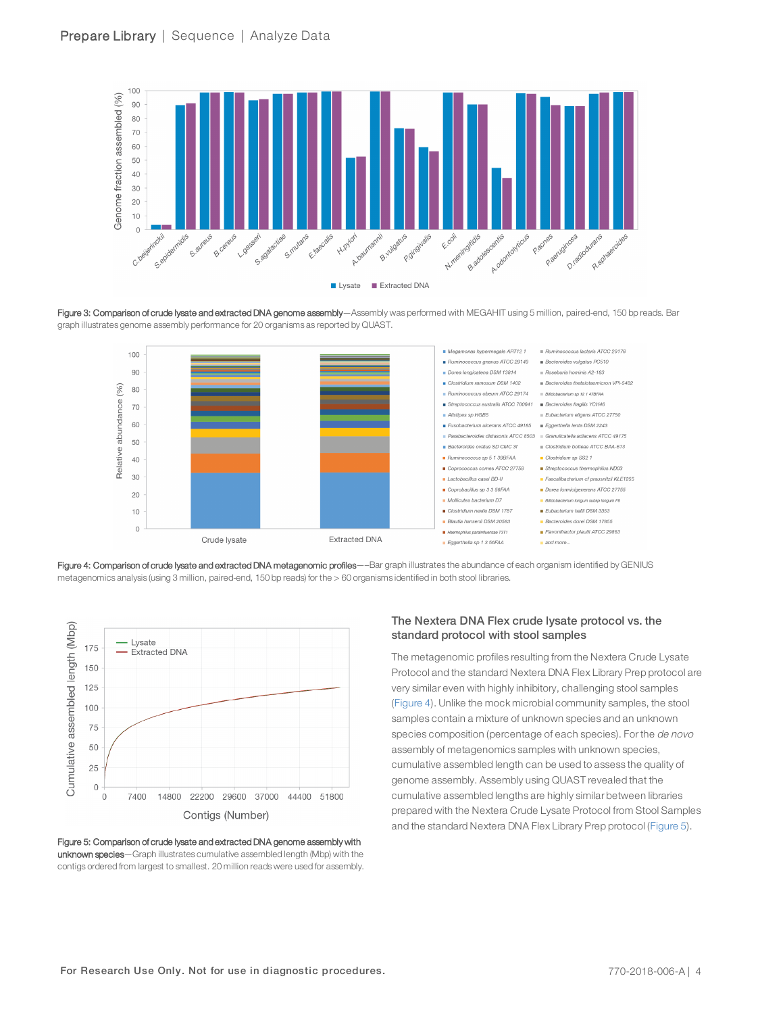

<span id="page-3-0"></span>Figure 3: Comparison of crude lysate and extracted DNA genome assembly—Assembly was performed with MEGAHIT using 5 million, paired-end, 150 bp reads. Bar graph illustrates genome assembly performance for 20 organisms as reported by QUAST.



<span id="page-3-1"></span>Figure 4: Comparison of crude lysate and extracted DNA metagenomic profiles—–Bar graph illustrates the abundance of each organism identified by GENIUS metagenomics analysis (using 3 million, paired-end, 150 bp reads) for the > 60 organisms identified in both stool libraries.



<span id="page-3-2"></span>Figure 5: Comparison of crude lysate and extracted DNA genome assembly with unknown species—Graph illustrates cumulative assembled length (Mbp) with the contigs ordered from largest to smallest. 20 million reads were used for assembly.

### The Nextera DNA Flex crude lysate protocol vs. the standard protocol with stool samples

The metagenomic profiles resulting from the Nextera Crude Lysate Protocol and the standard Nextera DNA Flex Library Prep protocol are very similar even with highly inhibitory, challenging stool samples ([Figure 4\)](#page-3-1). Unlike the mock microbial community samples, the stool samples contain a mixture of unknown species and an unknown species composition (percentage of each species). For the de novo assembly of metagenomics samples with unknown species, cumulative assembled length can be used to assess the quality of genome assembly. Assembly using QUAST revealed that the cumulative assembled lengths are highly similar between libraries prepared with the Nextera Crude Lysate Protocol from Stool Samples and the standard Nextera DNA Flex Library Prep protocol ([Figure 5\)](#page-3-2).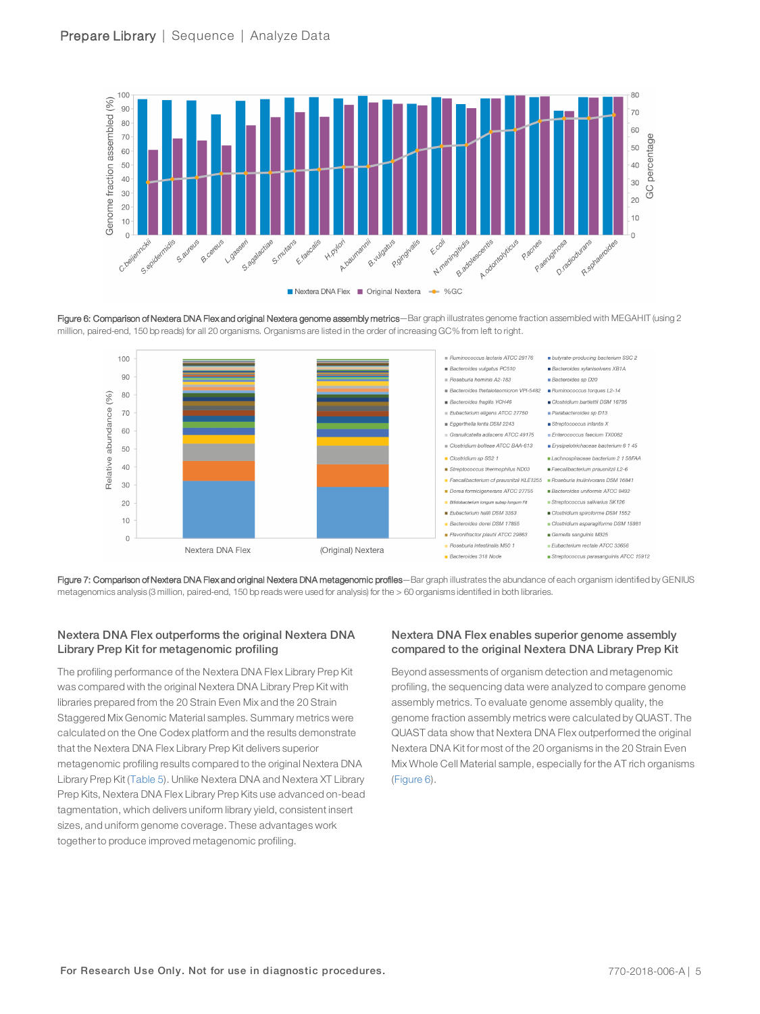

<span id="page-4-0"></span>Figure 6: Comparison of Nextera DNA Flex and original Nextera genome assembly metrics—Bar graph illustrates genome fraction assembled with MEGAHIT (using 2 million, paired-end, 150 bp reads) for all 20 organisms. Organisms are listed in the order of increasing GC% from left to right.



<span id="page-4-1"></span>Figure 7: Comparison of Nextera DNA Flex and original Nextera DNA metagenomic profiles—Bar graph illustrates the abundance of each organism identified by GENIUS metagenomics analysis (3 million, paired-end, 150 bp reads were used for analysis) for the > 60 organisms identified in both libraries.

## Nextera DNA Flex outperforms the original Nextera DNA Library Prep Kit for metagenomic profiling

The profiling performance of the Nextera DNA Flex Library Prep Kit was compared with the original Nextera DNA Library Prep Kit with libraries prepared from the 20 Strain Even Mix and the 20 Strain Staggered Mix Genomic Material samples. Summary metrics were calculated on the One Codex platform and the results demonstrate that the Nextera DNA Flex Library Prep Kit delivers superior metagenomic profiling results compared to the original Nextera DNA Library Prep Kit ([Table 5\)](#page-5-10). Unlike Nextera DNA and Nextera XT Library Prep Kits, Nextera DNA Flex Library Prep Kits use advanced on-bead tagmentation, which delivers uniform library yield, consistent insert sizes, and uniform genome coverage. These advantages work together to produce improved metagenomic profiling.

## Nextera DNA Flex enables superior genome assembly compared to the original Nextera DNA Library Prep Kit

Beyond assessments of organism detection and metagenomic profiling, the sequencing data were analyzed to compare genome assembly metrics. To evaluate genome assembly quality, the genome fraction assembly metrics were calculated by QUAST. The QUAST data show that Nextera DNA Flex outperformed the original Nextera DNA Kit for most of the 20 organisms in the 20 Strain Even Mix Whole Cell Material sample, especially for the AT rich organisms ([Figure 6\)](#page-4-0).